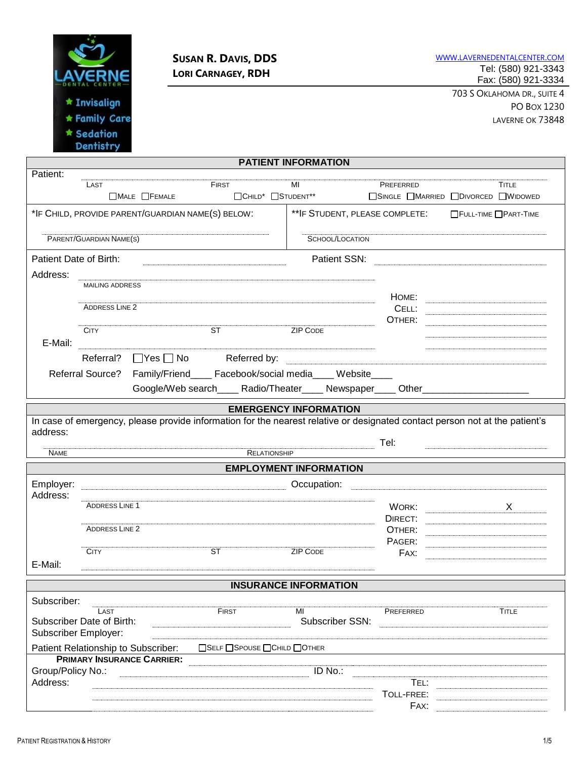

# **SUSAN R. DAVIS, DDS LORI CARNAGEY, RDH**

WWW.[LAVERNEDENTALCENTER](http://www.lavernedentalcenter.com/).COM Tel: (580) 921-3343 Fax: (580) 921-3334

> 703 S OKLAHOMA DR., SUITE 4 PO BOX 1230 LAVERNE OK 73848

| <b>PATIENT INFORMATION</b> |                             |                                                   |                                                                          |                               |                                                                                  |                                                                                                                                                                                                                                                                                                                                                                                                                                                                                 |  |
|----------------------------|-----------------------------|---------------------------------------------------|--------------------------------------------------------------------------|-------------------------------|----------------------------------------------------------------------------------|---------------------------------------------------------------------------------------------------------------------------------------------------------------------------------------------------------------------------------------------------------------------------------------------------------------------------------------------------------------------------------------------------------------------------------------------------------------------------------|--|
| Patient:                   | LAST                        |                                                   | FIRST                                                                    | MI                            | PREFERRED                                                                        | <b>TITLE</b>                                                                                                                                                                                                                                                                                                                                                                                                                                                                    |  |
|                            |                             | $\Box$ MALE $\Box$ FEMALE                         | □CHILD <sup>*</sup> □STUDENT <sup>**</sup>                               |                               |                                                                                  | □SINGLE □MARRIED □DIVORCED □WIDOWED                                                                                                                                                                                                                                                                                                                                                                                                                                             |  |
|                            |                             | *IF CHILD, PROVIDE PARENT/GUARDIAN NAME(S) BELOW: |                                                                          |                               | ** IF STUDENT, PLEASE COMPLETE: FULL-TIME PART-TIME                              |                                                                                                                                                                                                                                                                                                                                                                                                                                                                                 |  |
| PARENT/GUARDIAN NAME(S)    |                             |                                                   |                                                                          | <b>SCHOOL/LOCATION</b>        |                                                                                  |                                                                                                                                                                                                                                                                                                                                                                                                                                                                                 |  |
| Patient Date of Birth:     |                             |                                                   |                                                                          | Patient SSN:                  |                                                                                  | $\begin{minipage}{0.5\textwidth} \begin{tabular}{@{}c@{}} \hline \multicolumn{3}{c}{\textbf{a}} & \multicolumn{3}{c}{\textbf{b}} \\ \multicolumn{3}{c}{\textbf{a}} & \multicolumn{3}{c}{\textbf{a}} & \multicolumn{3}{c}{\textbf{a}} \\ \multicolumn{3}{c}{\textbf{a}} & \multicolumn{3}{c}{\textbf{a}} & \multicolumn{3}{c}{\textbf{a}} \\ \multicolumn{3}{c}{\textbf{a}} & \multicolumn{3}{c}{\textbf{a}} & \multicolumn{3}{c}{\textbf{a}} \\ \multicolumn{3}{c}{\textbf{a}}$ |  |
| Address:                   |                             |                                                   |                                                                          |                               |                                                                                  |                                                                                                                                                                                                                                                                                                                                                                                                                                                                                 |  |
|                            | <b>MAILING ADDRESS</b>      |                                                   |                                                                          |                               |                                                                                  |                                                                                                                                                                                                                                                                                                                                                                                                                                                                                 |  |
|                            | <b>ADDRESS LINE 2</b>       |                                                   |                                                                          |                               | HOME:<br>CELL:                                                                   |                                                                                                                                                                                                                                                                                                                                                                                                                                                                                 |  |
|                            |                             |                                                   |                                                                          |                               | OTHER:                                                                           |                                                                                                                                                                                                                                                                                                                                                                                                                                                                                 |  |
|                            | <b>CITY</b>                 |                                                   | $\overline{\text{ST}}$                                                   | <b>ZIP CODE</b>               |                                                                                  |                                                                                                                                                                                                                                                                                                                                                                                                                                                                                 |  |
| E-Mail:                    |                             |                                                   |                                                                          |                               |                                                                                  |                                                                                                                                                                                                                                                                                                                                                                                                                                                                                 |  |
|                            | Referral?                   | $\Box$ Yes $\Box$ No                              | Referred by:                                                             |                               |                                                                                  |                                                                                                                                                                                                                                                                                                                                                                                                                                                                                 |  |
|                            |                             |                                                   | Referral Source? Family/Friend____ Facebook/social media____ Website____ |                               |                                                                                  |                                                                                                                                                                                                                                                                                                                                                                                                                                                                                 |  |
|                            |                             |                                                   |                                                                          |                               | Google/Web search_____Radio/Theater_____Newspaper____Other______________________ |                                                                                                                                                                                                                                                                                                                                                                                                                                                                                 |  |
|                            |                             |                                                   |                                                                          |                               |                                                                                  |                                                                                                                                                                                                                                                                                                                                                                                                                                                                                 |  |
|                            |                             |                                                   |                                                                          | <b>EMERGENCY INFORMATION</b>  |                                                                                  |                                                                                                                                                                                                                                                                                                                                                                                                                                                                                 |  |
|                            |                             |                                                   |                                                                          |                               |                                                                                  | In case of emergency, please provide information for the nearest relative or designated contact person not at the patient's                                                                                                                                                                                                                                                                                                                                                     |  |
| address:                   |                             |                                                   |                                                                          |                               | Tel:                                                                             |                                                                                                                                                                                                                                                                                                                                                                                                                                                                                 |  |
| <b>NAME</b>                |                             |                                                   | RELATIONSHIP                                                             |                               |                                                                                  |                                                                                                                                                                                                                                                                                                                                                                                                                                                                                 |  |
|                            |                             |                                                   |                                                                          | <b>EMPLOYMENT INFORMATION</b> |                                                                                  |                                                                                                                                                                                                                                                                                                                                                                                                                                                                                 |  |
| Employer:                  |                             |                                                   |                                                                          | Occupation:                   |                                                                                  |                                                                                                                                                                                                                                                                                                                                                                                                                                                                                 |  |
| Address:                   |                             |                                                   |                                                                          |                               |                                                                                  |                                                                                                                                                                                                                                                                                                                                                                                                                                                                                 |  |
|                            | <b>ADDRESS LINE 1</b>       |                                                   |                                                                          |                               | WORK:                                                                            | X                                                                                                                                                                                                                                                                                                                                                                                                                                                                               |  |
|                            | <b>ADDRESS LINE 2</b>       |                                                   |                                                                          |                               | DIRECT:                                                                          |                                                                                                                                                                                                                                                                                                                                                                                                                                                                                 |  |
|                            |                             |                                                   |                                                                          |                               | OTHER:<br>PAGER:                                                                 |                                                                                                                                                                                                                                                                                                                                                                                                                                                                                 |  |
|                            | <b>CITY</b>                 |                                                   | <b>ST</b>                                                                | <b>ZIP CODE</b>               | FAX:                                                                             |                                                                                                                                                                                                                                                                                                                                                                                                                                                                                 |  |
| E-Mail:                    |                             |                                                   |                                                                          |                               |                                                                                  |                                                                                                                                                                                                                                                                                                                                                                                                                                                                                 |  |
|                            |                             |                                                   |                                                                          | <b>INSURANCE INFORMATION</b>  |                                                                                  |                                                                                                                                                                                                                                                                                                                                                                                                                                                                                 |  |
|                            |                             |                                                   |                                                                          |                               |                                                                                  |                                                                                                                                                                                                                                                                                                                                                                                                                                                                                 |  |
| Subscriber:                | LAST                        |                                                   | <b>FIRST</b>                                                             | MI                            | PREFERRED                                                                        | <b>TITLE</b>                                                                                                                                                                                                                                                                                                                                                                                                                                                                    |  |
| Subscriber Date of Birth:  |                             |                                                   | Subscriber SSN:                                                          |                               |                                                                                  |                                                                                                                                                                                                                                                                                                                                                                                                                                                                                 |  |
|                            | <b>Subscriber Employer:</b> |                                                   |                                                                          |                               |                                                                                  |                                                                                                                                                                                                                                                                                                                                                                                                                                                                                 |  |
|                            |                             | Patient Relationship to Subscriber:               | □SELF □SPOUSE □CHILD □OTHER                                              |                               |                                                                                  |                                                                                                                                                                                                                                                                                                                                                                                                                                                                                 |  |
|                            |                             | <b>PRIMARY INSURANCE CARRIER:</b>                 |                                                                          |                               |                                                                                  |                                                                                                                                                                                                                                                                                                                                                                                                                                                                                 |  |
| Group/Policy No.:          |                             |                                                   | $ID$ No.:                                                                |                               |                                                                                  |                                                                                                                                                                                                                                                                                                                                                                                                                                                                                 |  |
|                            |                             |                                                   |                                                                          |                               |                                                                                  |                                                                                                                                                                                                                                                                                                                                                                                                                                                                                 |  |
| Address:                   |                             |                                                   |                                                                          |                               | TEL:                                                                             |                                                                                                                                                                                                                                                                                                                                                                                                                                                                                 |  |
|                            |                             |                                                   |                                                                          |                               | TOLL-FREE:<br>FAX:                                                               |                                                                                                                                                                                                                                                                                                                                                                                                                                                                                 |  |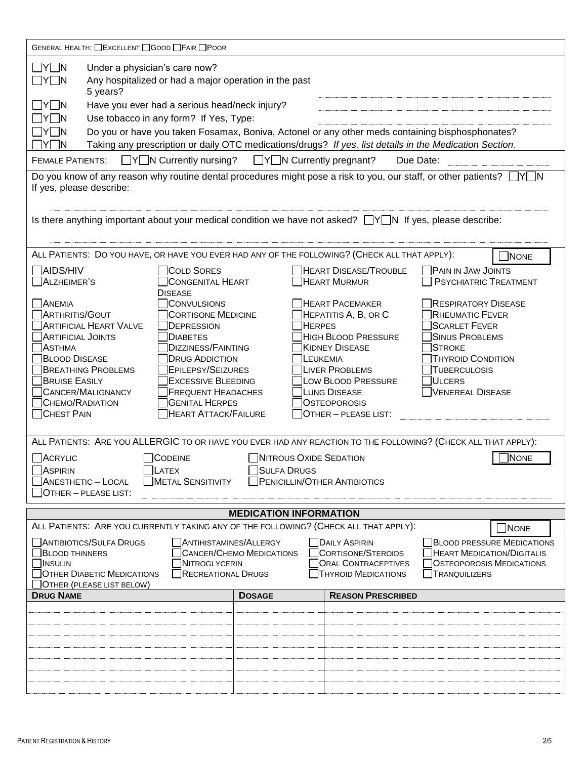| GENERAL HEALTH: CEXCELLENT CGOOD CFAIR CPOOR                                                                                                                                                                                                                                                                                                                                                                                     |                                                                                                                                                                                                                                                                                              |                                                                                                                                                                                                                                                                     |                                                                                                                                                                                                                 |  |  |  |  |  |  |
|----------------------------------------------------------------------------------------------------------------------------------------------------------------------------------------------------------------------------------------------------------------------------------------------------------------------------------------------------------------------------------------------------------------------------------|----------------------------------------------------------------------------------------------------------------------------------------------------------------------------------------------------------------------------------------------------------------------------------------------|---------------------------------------------------------------------------------------------------------------------------------------------------------------------------------------------------------------------------------------------------------------------|-----------------------------------------------------------------------------------------------------------------------------------------------------------------------------------------------------------------|--|--|--|--|--|--|
| $\Box$ y $\Box$ n<br>Under a physician's care now?<br>$\Box$ Y $\Box$ N<br>Any hospitalized or had a major operation in the past<br>5 years?                                                                                                                                                                                                                                                                                     |                                                                                                                                                                                                                                                                                              |                                                                                                                                                                                                                                                                     |                                                                                                                                                                                                                 |  |  |  |  |  |  |
| $\Box$ Y $\Box$ N<br>Have you ever had a serious head/neck injury?                                                                                                                                                                                                                                                                                                                                                               |                                                                                                                                                                                                                                                                                              |                                                                                                                                                                                                                                                                     |                                                                                                                                                                                                                 |  |  |  |  |  |  |
| Use tobacco in any form? If Yes, Type:<br>$\Box$ Y $\Box$ N                                                                                                                                                                                                                                                                                                                                                                      |                                                                                                                                                                                                                                                                                              |                                                                                                                                                                                                                                                                     |                                                                                                                                                                                                                 |  |  |  |  |  |  |
| Do you or have you taken Fosamax, Boniva, Actonel or any other meds containing bisphosphonates?<br>$\Box$ Y $\Box$ N                                                                                                                                                                                                                                                                                                             |                                                                                                                                                                                                                                                                                              |                                                                                                                                                                                                                                                                     |                                                                                                                                                                                                                 |  |  |  |  |  |  |
| Taking any prescription or daily OTC medications/drugs? If yes, list details in the Medication Section.<br>$\exists$ Y $\Box$ N                                                                                                                                                                                                                                                                                                  |                                                                                                                                                                                                                                                                                              |                                                                                                                                                                                                                                                                     |                                                                                                                                                                                                                 |  |  |  |  |  |  |
| $\Box Y \Box N$ Currently pregnant?<br>$\Box Y \Box N$ Currently nursing?<br><b>FEMALE PATIENTS:</b><br>Due Date:                                                                                                                                                                                                                                                                                                                |                                                                                                                                                                                                                                                                                              |                                                                                                                                                                                                                                                                     |                                                                                                                                                                                                                 |  |  |  |  |  |  |
| $\sqcap$ y $\sqcap$ n<br>Do you know of any reason why routine dental procedures might pose a risk to you, our staff, or other patients?<br>If yes, please describe:                                                                                                                                                                                                                                                             |                                                                                                                                                                                                                                                                                              |                                                                                                                                                                                                                                                                     |                                                                                                                                                                                                                 |  |  |  |  |  |  |
| Is there anything important about your medical condition we have not asked? $\Box Y \Box N$ If yes, please describe:                                                                                                                                                                                                                                                                                                             |                                                                                                                                                                                                                                                                                              |                                                                                                                                                                                                                                                                     |                                                                                                                                                                                                                 |  |  |  |  |  |  |
| ALL PATIENTS: DO YOU HAVE, OR HAVE YOU EVER HAD ANY OF THE FOLLOWING? (CHECK ALL THAT APPLY):                                                                                                                                                                                                                                                                                                                                    |                                                                                                                                                                                                                                                                                              |                                                                                                                                                                                                                                                                     | NONE                                                                                                                                                                                                            |  |  |  |  |  |  |
| TAIDS/HIV<br>ALZHEIMER'S                                                                                                                                                                                                                                                                                                                                                                                                         | <b>COLD SORES</b><br><b>CONGENITAL HEART</b><br><b>DISEASE</b>                                                                                                                                                                                                                               | HEART DISEASE/TROUBLE<br><b>HEART MURMUR</b>                                                                                                                                                                                                                        | <b>PAIN IN JAW JOINTS</b><br><b>PSYCHIATRIC TREATMENT</b>                                                                                                                                                       |  |  |  |  |  |  |
| <b>ANEMIA</b><br>ARTHRITIS/GOUT<br><b>ARTIFICIAL HEART VALVE</b><br><b>ARTIFICIAL JOINTS</b><br>ASTHMA<br><b>BLOOD DISEASE</b><br><b>BREATHING PROBLEMS</b><br><b>BRUISE EASILY</b><br>CANCER/MALIGNANCY<br><b>CHEMO/RADIATION</b><br><b>CHEST PAIN</b><br>ALL PATIENTS: ARE YOU ALLERGIC TO OR HAVE YOU EVER HAD ANY REACTION TO THE FOLLOWING? (CHECK ALL THAT APPLY):<br>ACRYLIC<br>CODEINE<br>$\Box$ LATEX<br><b>ASPIRIN</b> | CONVULSIONS<br><b>CORTISONE MEDICINE</b><br>DEPRESSION<br><b>DIABETES</b><br><b>DIZZINESS/FAINTING</b><br><b>DRUG ADDICTION</b><br><b>EPILEPSY/SEIZURES</b><br><b>EXCESSIVE BLEEDING</b><br><b>FREQUENT HEADACHES</b><br><b>GENITAL HERPES</b><br><b>HEART ATTACK/FAILURE</b><br>SULFA DRUGS | <b>HEART PACEMAKER</b><br>HEPATITIS A, B, OR C<br><b>HERPES</b><br>HIGH BLOOD PRESSURE<br><b>KIDNEY DISEASE</b><br>LEUKEMIA<br><b>LIVER PROBLEMS</b><br>LOW BLOOD PRESSURE<br>LUNG DISEASE<br><b>OSTEOPOROSIS</b><br>OTHER - PLEASE LIST:<br>NITROUS OXIDE SEDATION | <b>RESPIRATORY DISEASE</b><br><b>RHEUMATIC FEVER</b><br><b>SCARLET FEVER</b><br><b>SINUS PROBLEMS</b><br><b>STROKE</b><br><b>THYROID CONDITION</b><br><b>TUBERCULOSIS</b><br>ULCERS<br>VENEREAL DISEASE<br>NONE |  |  |  |  |  |  |
| ANESTHETIC - LOCAL<br>METAL SENSITIVITY<br><b>PENICILLIN/OTHER ANTIBIOTICS</b>                                                                                                                                                                                                                                                                                                                                                   |                                                                                                                                                                                                                                                                                              |                                                                                                                                                                                                                                                                     |                                                                                                                                                                                                                 |  |  |  |  |  |  |
| OTHER - PLEASE LIST:                                                                                                                                                                                                                                                                                                                                                                                                             |                                                                                                                                                                                                                                                                                              |                                                                                                                                                                                                                                                                     |                                                                                                                                                                                                                 |  |  |  |  |  |  |
| <b>MEDICATION INFORMATION</b><br>ALL PATIENTS: ARE YOU CURRENTLY TAKING ANY OF THE FOLLOWING? (CHECK ALL THAT APPLY):                                                                                                                                                                                                                                                                                                            |                                                                                                                                                                                                                                                                                              |                                                                                                                                                                                                                                                                     |                                                                                                                                                                                                                 |  |  |  |  |  |  |
| ANTIBIOTICS/SULFA DRUGS<br><b>BLOOD THINNERS</b><br><b>NINSULIN</b><br><b>OTHER DIABETIC MEDICATIONS</b><br>OTHER (PLEASE LIST BELOW)                                                                                                                                                                                                                                                                                            | ANTIHISTAMINES/ALLERGY<br><b>CANCER/CHEMO MEDICATIONS</b><br>NITROGLYCERIN<br>RECREATIONAL DRUGS                                                                                                                                                                                             | DAILY ASPIRIN<br>CORTISONE/STEROIDS<br><b>ORAL CONTRACEPTIVES</b><br><b>THYROID MEDICATIONS</b>                                                                                                                                                                     | NONE<br><b>BLOOD PRESSURE MEDICATIONS</b><br><b>HEART MEDICATION/DIGITALIS</b><br><b>OSTEOPOROSIS MEDICATIONS</b><br><b>TRANQUILIZERS</b>                                                                       |  |  |  |  |  |  |
| <b>DRUG NAME</b>                                                                                                                                                                                                                                                                                                                                                                                                                 | <b>DOSAGE</b>                                                                                                                                                                                                                                                                                | <b>REASON PRESCRIBED</b>                                                                                                                                                                                                                                            |                                                                                                                                                                                                                 |  |  |  |  |  |  |
|                                                                                                                                                                                                                                                                                                                                                                                                                                  |                                                                                                                                                                                                                                                                                              |                                                                                                                                                                                                                                                                     |                                                                                                                                                                                                                 |  |  |  |  |  |  |
|                                                                                                                                                                                                                                                                                                                                                                                                                                  |                                                                                                                                                                                                                                                                                              |                                                                                                                                                                                                                                                                     |                                                                                                                                                                                                                 |  |  |  |  |  |  |
|                                                                                                                                                                                                                                                                                                                                                                                                                                  |                                                                                                                                                                                                                                                                                              |                                                                                                                                                                                                                                                                     |                                                                                                                                                                                                                 |  |  |  |  |  |  |
|                                                                                                                                                                                                                                                                                                                                                                                                                                  |                                                                                                                                                                                                                                                                                              |                                                                                                                                                                                                                                                                     |                                                                                                                                                                                                                 |  |  |  |  |  |  |
|                                                                                                                                                                                                                                                                                                                                                                                                                                  |                                                                                                                                                                                                                                                                                              |                                                                                                                                                                                                                                                                     |                                                                                                                                                                                                                 |  |  |  |  |  |  |
|                                                                                                                                                                                                                                                                                                                                                                                                                                  |                                                                                                                                                                                                                                                                                              |                                                                                                                                                                                                                                                                     |                                                                                                                                                                                                                 |  |  |  |  |  |  |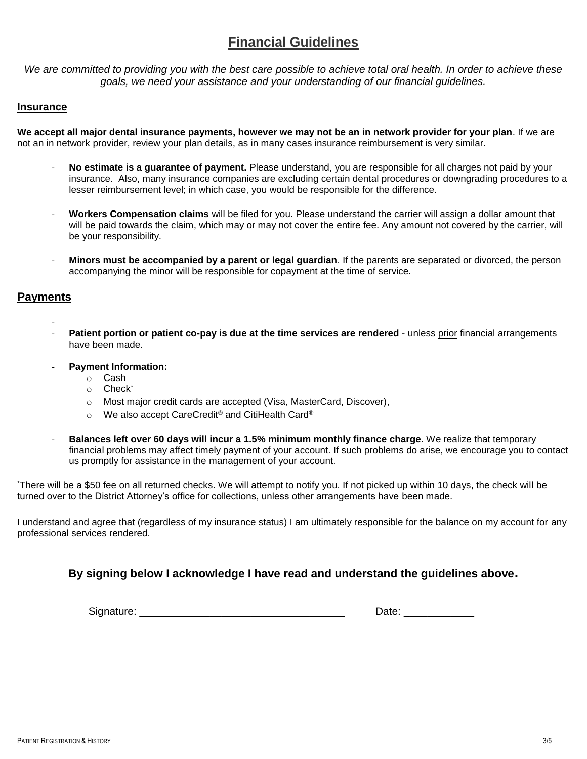# **Financial Guidelines**

We are committed to providing you with the best care possible to achieve total oral health. In order to achieve these *goals, we need your assistance and your understanding of our financial guidelines.* 

### **Insurance**

**We accept all major dental insurance payments, however we may not be an in network provider for your plan**. If we are not an in network provider, review your plan details, as in many cases insurance reimbursement is very similar.

- **No estimate is a guarantee of payment.** Please understand, you are responsible for all charges not paid by your insurance. Also, many insurance companies are excluding certain dental procedures or downgrading procedures to a lesser reimbursement level; in which case, you would be responsible for the difference.
- **Workers Compensation claims** will be filed for you. Please understand the carrier will assign a dollar amount that will be paid towards the claim, which may or may not cover the entire fee. Any amount not covered by the carrier, will be your responsibility.
- **Minors must be accompanied by a parent or legal guardian**. If the parents are separated or divorced, the person accompanying the minor will be responsible for copayment at the time of service.

## **Payments**

- **Patient portion or patient co-pay is due at the time services are rendered - unless prior financial arrangements** have been made.
- **Payment Information:**
	- o Cash
	- o Check\*
	- o Most major credit cards are accepted (Visa, MasterCard, Discover),
	- o We also accept CareCredit® and CitiHealth Card®
- **Balances left over 60 days will incur a 1.5% minimum monthly finance charge.** We realize that temporary financial problems may affect timely payment of your account. If such problems do arise, we encourage you to contact us promptly for assistance in the management of your account.

\*There will be a \$50 fee on all returned checks. We will attempt to notify you. If not picked up within 10 days, the check will be turned over to the District Attorney's office for collections, unless other arrangements have been made.

I understand and agree that (regardless of my insurance status) I am ultimately responsible for the balance on my account for any professional services rendered.

# **By signing below I acknowledge I have read and understand the guidelines above.**

Signature: \_\_\_\_\_\_\_\_\_\_\_\_\_\_\_\_\_\_\_\_\_\_\_\_\_\_\_\_\_\_\_\_\_\_\_ Date: \_\_\_\_\_\_\_\_\_\_\_\_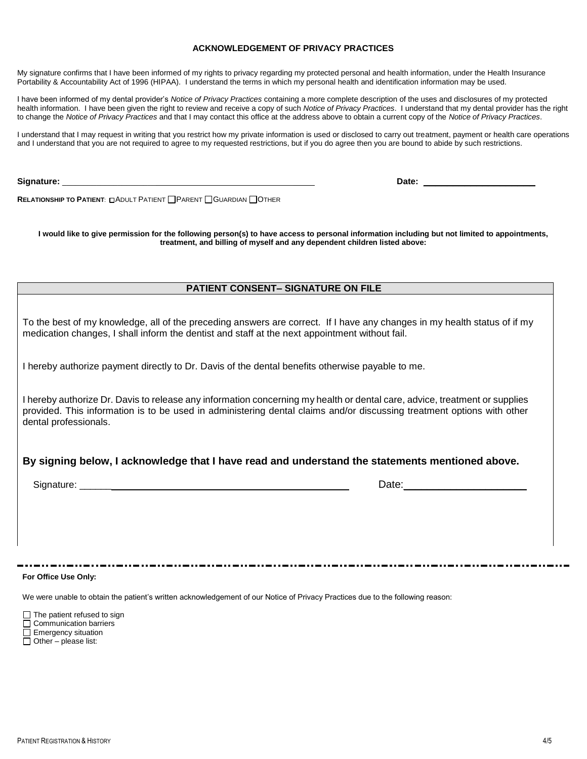#### **ACKNOWLEDGEMENT OF PRIVACY PRACTICES**

My signature confirms that I have been informed of my rights to privacy regarding my protected personal and health information, under the Health Insurance Portability & Accountability Act of 1996 (HIPAA). I understand the terms in which my personal health and identification information may be used.

I have been informed of my dental provider's *Notice of Privacy Practices* containing a more complete description of the uses and disclosures of my protected health information. I have been given the right to review and receive a copy of such *Notice of Privacy Practices*. I understand that my dental provider has the right to change the *Notice of Privacy Practices* and that I may contact this office at the address above to obtain a current copy of the *Notice of Privacy Practices*.

I understand that I may request in writing that you restrict how my private information is used or disclosed to carry out treatment, payment or health care operations and I understand that you are not required to agree to my requested restrictions, but if you do agree then you are bound to abide by such restrictions.

**Signature:** \_\_\_\_\_\_\_\_\_\_\_\_\_\_\_\_\_\_\_\_\_\_ \_\_\_\_\_ **Date:** \_\_\_\_\_\_\_\_\_\_\_\_\_\_\_\_\_\_\_

**RELATIONSHIP TO PATIENT:** CADULT PATIENT **PARENT COUARDIAN COTHER** 

**I would like to give permission for the following person(s) to have access to personal information including but not limited to appointments, treatment, and billing of myself and any dependent children listed above:**

#### **PATIENT CONSENT– SIGNATURE ON FILE**

To the best of my knowledge, all of the preceding answers are correct. If I have any changes in my health status of if my medication changes, I shall inform the dentist and staff at the next appointment without fail.

I hereby authorize payment directly to Dr. Davis of the dental benefits otherwise payable to me.

I hereby authorize Dr. Davis to release any information concerning my health or dental care, advice, treatment or supplies provided. This information is to be used in administering dental claims and/or discussing treatment options with other dental professionals.

### **By signing below, I acknowledge that I have read and understand the statements mentioned above.**

Signature: \_\_\_\_\_\_ Date:\_\_\_\_\_\_\_\_\_\_\_\_\_\_\_\_\_\_\_\_\_

**For Office Use Only:**

We were unable to obtain the patient's written acknowledgement of our Notice of Privacy Practices due to the following reason:

The patient refused to sign Communication barriers **Emergency situation**  $\overline{\Box}$  Other – please list: